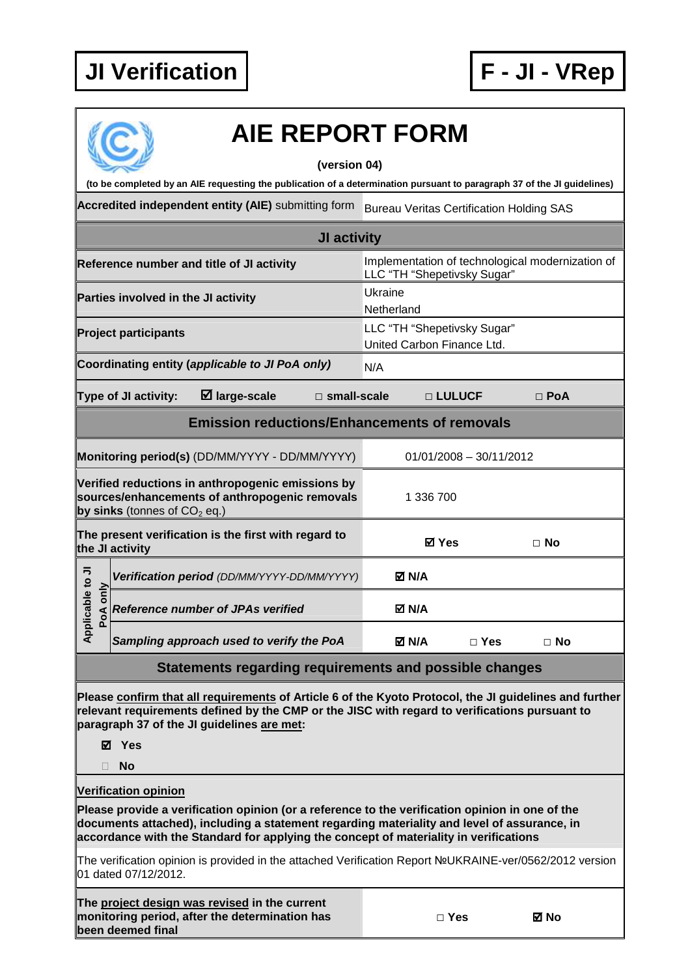

## **AIE REPORT FORM**

## **(version 04)**

**(to be completed by an AIE requesting the publication of a determination pursuant to paragraph 37 of the JI guidelines)** 

Accredited independent entity (AIE) submitting form Bureau Veritas Certification Holding SAS

| JI activity                                                             |                                                                             |                                                                                                     |               |              |                                                           |  |            |  |
|-------------------------------------------------------------------------|-----------------------------------------------------------------------------|-----------------------------------------------------------------------------------------------------|---------------|--------------|-----------------------------------------------------------|--|------------|--|
| Reference number and title of JI activity                               |                                                                             | Implementation of technological modernization of<br>LLC "TH "Shepetivsky Sugar"                     |               |              |                                                           |  |            |  |
| Ukraine<br>Parties involved in the JI activity<br>Netherland            |                                                                             |                                                                                                     |               |              |                                                           |  |            |  |
|                                                                         | <b>Project participants</b>                                                 |                                                                                                     |               |              | LLC "TH "Shepetivsky Sugar"<br>United Carbon Finance Ltd. |  |            |  |
|                                                                         |                                                                             | Coordinating entity (applicable to JI PoA only)                                                     |               | N/A          |                                                           |  |            |  |
|                                                                         | Type of JI activity:                                                        | $\boxtimes$ large-scale                                                                             | □ small-scale |              | □ LULUCF                                                  |  | $\Box$ PoA |  |
| <b>Emission reductions/Enhancements of removals</b>                     |                                                                             |                                                                                                     |               |              |                                                           |  |            |  |
|                                                                         | Monitoring period(s) (DD/MM/YYYY - DD/MM/YYYY)<br>$01/01/2008 - 30/11/2012$ |                                                                                                     |               |              |                                                           |  |            |  |
|                                                                         | by sinks (tonnes of $CO2$ eq.)                                              | Verified reductions in anthropogenic emissions by<br>sources/enhancements of anthropogenic removals |               |              | 1 336 700                                                 |  |            |  |
| The present verification is the first with regard to<br>the JI activity |                                                                             |                                                                                                     | <b>ØYes</b>   |              | $\Box$ No                                                 |  |            |  |
|                                                                         |                                                                             | Verification period (DD/MM/YYYY-DD/MM/YYYY)                                                         |               | M N/A        |                                                           |  |            |  |
| Applicable to JI<br>only<br>Ao4                                         |                                                                             | <b>Reference number of JPAs verified</b>                                                            |               | M N/A        |                                                           |  |            |  |
|                                                                         |                                                                             | Sampling approach used to verify the PoA                                                            |               | <b>⊠ N/A</b> | $\Box$ Yes                                                |  | $\Box$ No  |  |

## **Statements regarding requirements and possible changes**

**Please confirm that all requirements of Article 6 of the Kyoto Protocol, the JI guidelines and further relevant requirements defined by the CMP or the JISC with regard to verifications pursuant to paragraph 37 of the JI guidelines are met:** 

**Yes** 

**No** 

**Verification opinion** 

**Please provide a verification opinion (or a reference to the verification opinion in one of the documents attached), including a statement regarding materiality and level of assurance, in accordance with the Standard for applying the concept of materiality in verifications** 

The verification opinion is provided in the attached Verification Report №UKRAINE-ver/0562/2012 version 01 dated 07/12/2012.

| The project design was revised in the current  |
|------------------------------------------------|
| monitoring period, after the determination has |
| been deemed final                              |

**□ Yes No**